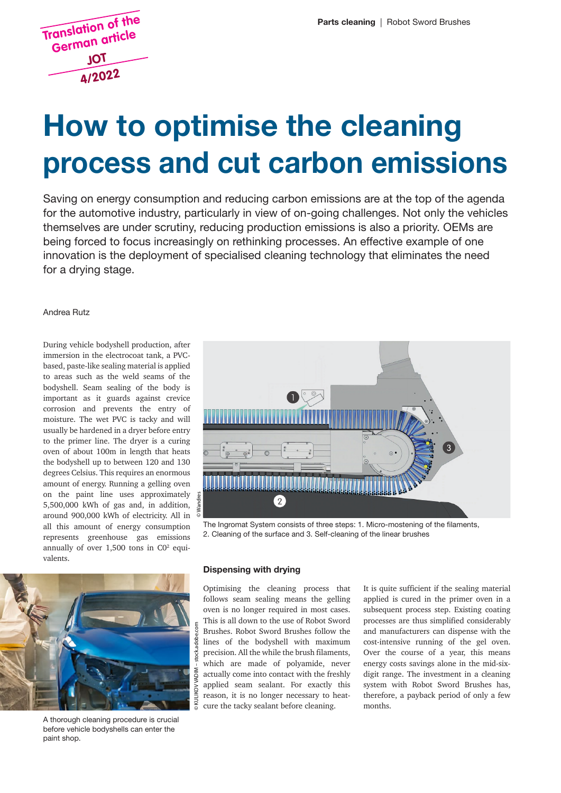

# **How to optimise the cleaning** process and cut carbon emissions

Saving on energy consumption and reducing carbon emissions are at the top of the agenda for the automotive industry, particularly in view of on-going challenges. Not only the vehicles themselves are under scrutiny, reducing production emissions is also a priority. OEMs are being forced to focus increasingly on rethinking processes. An effective example of one innovation is the deployment of specialised cleaning technology that eliminates the need for a drying stage.

#### Andrea Rutz Andrea Rutz

During vehicle bodyshell production, after During vehicle bodyshell production, after<br>immersion in the electrocoat tank, a PVCbased, paste-like sealing material is applied to areas such as the weld seams of the bodyshell. Seam sealing of the body is to areas such as the weld seams of the bodyshell. Seam sealing of the body is important as it guards against crevice corrosion and prevents the entry of moisture. The wet PVC is tacky and will usually be hardened in a dryer before entry to the primer line. The dryer is a curing to the primer line. The dryer is a curing<br>oven of about 100m in length that heats the bodyshell up to between 120 and 130 degrees Celsius. This requires an enormous degrees Celsius. This requires an enormous<br>amount of energy. Running a gelling oven on the paint line uses approximately  $5,500,000$  kWh of gas and, in addition, 5,500,000 kWh of gas and, in addition,<br>around 900,000 kWh of electricity. All in all this amount of energy consumption represents greenhouse gas emissions represents greenhouse gas emissions<br>annually of over 1,500 tons in C0<sup>2</sup> equicorrosion and prevents the entry of moisture. The wet PVC is tacky and will usually be hardened in a dryer before entry valents.



The Ingromat System consists of three steps: 1. Micro-mostening of the filaments, 2. Cleaning of the surface and 3. Self-cleaning of the linear brushes



A thorough cleaning procedure is crucial before vehicle bodyshells can enter the paint shop.

### **Dispensing with drying**

Optimising the cleaning process that follows seam sealing means the gelling oven is no longer required in most cases. This is all down to the use of Robot Sword Brushes. Robot Sword Brushes follow the lines of the bodyshell with maximum precision. All the while the brush filaments, which are made of polyamide, never actually come into contact with the freshly applied seam sealant. For exactly this reason, it is no longer necessary to heatcure the tacky sealant before cleaning.

It is quite sufficient if the sealing material applied is cured in the primer oven in a subsequent process step. Existing coating processes are thus simplified considerably and manufacturers can dispense with the cost-intensive running of the gel oven. Over the course of a year, this means digit range. The investment in a cleaning therefore, a payback period of only a few months. energy costs savings alone in the mid-sixsystem with Robot Sword Brushes has,